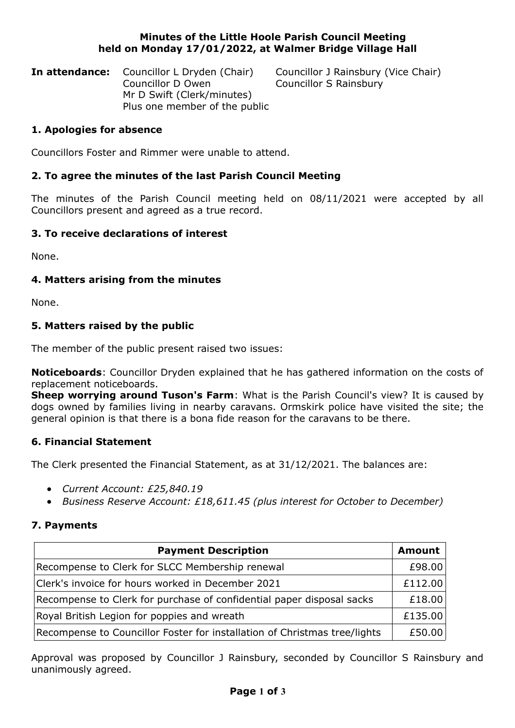#### **Minutes of the Little Hoole Parish Council Meeting held on Monday 17/01/2022, at Walmer Bridge Village Hall**

**In attendance:** Councillor L Dryden (Chair) Councillor J Rainsbury (Vice Chair) Councillor D Owen Councillor S Rainsbury Mr D Swift (Clerk/minutes) Plus one member of the public

## **1. Apologies for absence**

Councillors Foster and Rimmer were unable to attend.

# **2. To agree the minutes of the last Parish Council Meeting**

The minutes of the Parish Council meeting held on 08/11/2021 were accepted by all Councillors present and agreed as a true record.

## **3. To receive declarations of interest**

None.

## **4. Matters arising from the minutes**

None.

## **5. Matters raised by the public**

The member of the public present raised two issues:

**Noticeboards**: Councillor Dryden explained that he has gathered information on the costs of replacement noticeboards.

**Sheep worrying around Tuson's Farm**: What is the Parish Council's view? It is caused by dogs owned by families living in nearby caravans. Ormskirk police have visited the site; the general opinion is that there is a bona fide reason for the caravans to be there.

## **6. Financial Statement**

The Clerk presented the Financial Statement, as at 31/12/2021. The balances are:

- *Current Account: £25,840.19*
- *Business Reserve Account: £18,611.45 (plus interest for October to December)*

## **7. Payments**

| <b>Payment Description</b>                                                | <b>Amount</b> |
|---------------------------------------------------------------------------|---------------|
| Recompense to Clerk for SLCC Membership renewal                           | £98.00        |
| Clerk's invoice for hours worked in December 2021                         | £112.00       |
| Recompense to Clerk for purchase of confidential paper disposal sacks     | £18.00        |
| Royal British Legion for poppies and wreath                               | £135.00       |
| Recompense to Councillor Foster for installation of Christmas tree/lights | £50.00        |

Approval was proposed by Councillor J Rainsbury, seconded by Councillor S Rainsbury and unanimously agreed.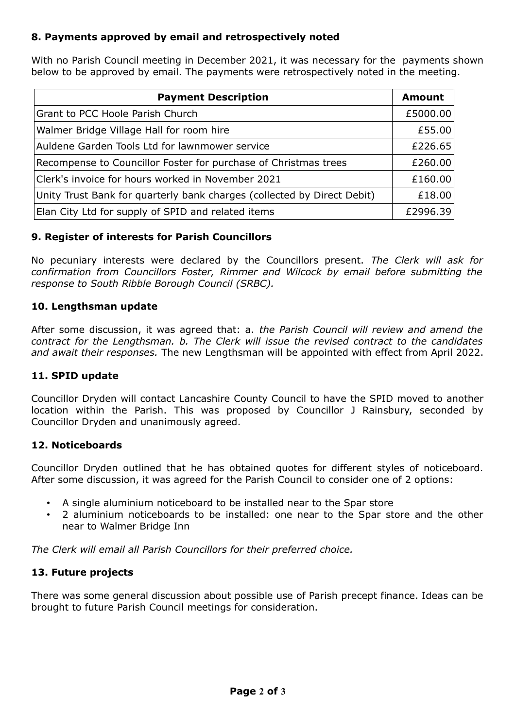## **8. Payments approved by email and retrospectively noted**

With no Parish Council meeting in December 2021, it was necessary for the payments shown below to be approved by email. The payments were retrospectively noted in the meeting.

| <b>Payment Description</b>                                              | <b>Amount</b> |
|-------------------------------------------------------------------------|---------------|
| Grant to PCC Hoole Parish Church                                        | £5000.00      |
| Walmer Bridge Village Hall for room hire                                | £55.00        |
| Auldene Garden Tools Ltd for lawnmower service                          | £226.65       |
| Recompense to Councillor Foster for purchase of Christmas trees         | £260.00       |
| Clerk's invoice for hours worked in November 2021                       | £160.00       |
| Unity Trust Bank for quarterly bank charges (collected by Direct Debit) | £18.00        |
| Elan City Ltd for supply of SPID and related items                      | £2996.39      |

## **9. Register of interests for Parish Councillors**

No pecuniary interests were declared by the Councillors present. *The Clerk will ask for confirmation from Councillors Foster, Rimmer and Wilcock by email before submitting the response to South Ribble Borough Council (SRBC).*

## **10. Lengthsman update**

After some discussion, it was agreed that: a. *the Parish Council will review and amend the contract for the Lengthsman. b. The Clerk will issue the revised contract to the candidates and await their responses.* The new Lengthsman will be appointed with effect from April 2022.

#### **11. SPID update**

Councillor Dryden will contact Lancashire County Council to have the SPID moved to another location within the Parish. This was proposed by Councillor J Rainsbury, seconded by Councillor Dryden and unanimously agreed.

## **12. Noticeboards**

Councillor Dryden outlined that he has obtained quotes for different styles of noticeboard. After some discussion, it was agreed for the Parish Council to consider one of 2 options:

- A single aluminium noticeboard to be installed near to the Spar store
- 2 aluminium noticeboards to be installed: one near to the Spar store and the other near to Walmer Bridge Inn

*The Clerk will email all Parish Councillors for their preferred choice.*

## **13. Future projects**

There was some general discussion about possible use of Parish precept finance. Ideas can be brought to future Parish Council meetings for consideration.